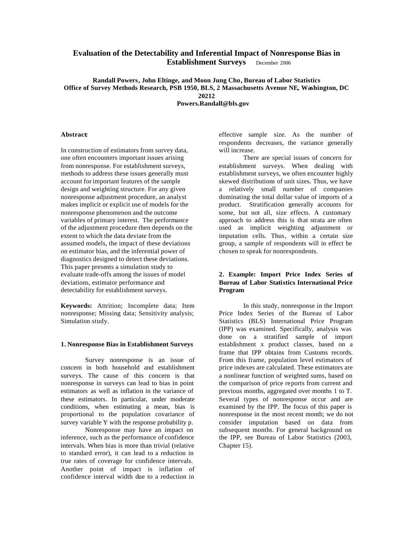# **Evaluation of the Detectability and Inferential Impact of Nonresponse Bias in Establishment Surveys** December 2006

**Randall Powers, John Eltinge, and Moon Jung Cho, Bureau of Labor Statistics Office of Survey Methods Research, PSB 1950, BLS, 2 Massachusetts Avenue NE, Washington, DC 20212 Powers.Randall@bls.gov**

**Abstract:**

In construction of estimators from survey data, one often encounters important issues arising from nonresponse. For establishment surveys, methods to address these issues generally must account for important features of the sample design and weighting structure. For any given nonresponse adjustment procedure, an analyst makes implicit or explicit use of models for the nonresponse phenomenon and the outcome variables of primary interest. The performance of the adjustment procedure then depends on the extent to which the data deviate from the assumed models, the impact of these deviations on estimator bias, and the inferential power of diagnostics designed to detect these deviations. This paper presents a simulation study to evaluate trade-offs among the issues of model deviations, estimator performance and detectability for establishment surveys.

**Keywords:** Attrition; Incomplete data; Item nonresponse; Missing data; Sensitivity analysis; Simulation study.

#### **1. Nonresponse Bias in Establishment Surveys**

Survey nonresponse is an issue of concern in both household and establishment surveys. The cause of this concern is that nonresponse in surveys can lead to bias in point estimators as well as inflation in the variance of these estimators. In particular, under moderate conditions, when estimating a mean, bias is proportional to the population covariance of survey variable Y with the response probability p.

Nonresponse may have an impact on inference, such as the performance of confidence intervals. When bias is more than trivial (relative to standard error), it can lead to a reduction in true rates of coverage for confidence intervals. Another point of impact is inflation of confidence interval width due to a reduction in

effective sample size. As the number of respondents decreases, the variance generally will increase.

There are special issues of concern for establishment surveys. When dealing with establishment surveys, we often encounter highly skewed distributions of unit sizes. Thus, we have a relatively small number of companies dominating the total dollar value of imports of a product. Stratification generally accounts for some, but not all, size effects. A customary approach to address this is that strata are often used as implicit weighting adjustment or imputation cells. Thus, within a certain size group, a sample of respondents will in effect be chosen to speak for nonrespondents.

# **2. Example: Import Price Index Series of Bureau of Labor Statistics International Price Program**

In this study, nonresponse in the Import Price Index Series of the Bureau of Labor Statistics (BLS) International Price Program (IPP) was examined. Specifically, analysis was done on a stratified sample of import establishment x product classes, based on a frame that IPP obtains from Customs records. From this frame, population level estimators of price indexes are calculated. These estimators are a nonlinear function of weighted sums, based on the comparison of price reports from current and previous months, aggregated over months 1 to T. Several types of nonresponse occur and are examined by the IPP. The focus of this paper is nonresponse in the most recent month; we do not consider imputation based on data from subsequent months. For general background on the IPP, see Bureau of Labor Statistics (2003, Chapter 15).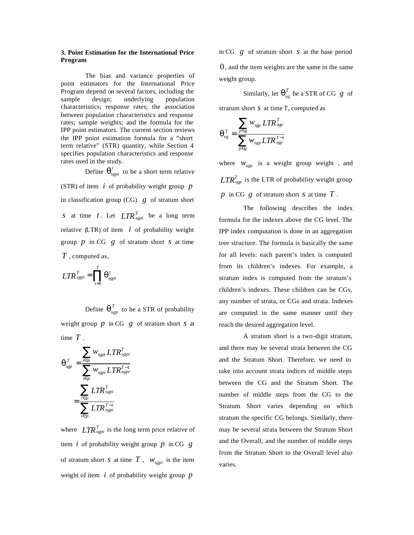# **3. Point Estimation for the International Price Program**

The bias and variance properties of point estimators for the International Price Program depend on several factors, including the sample design; underlying population characteristics; response rates; the association between population characteristics and response rates; sample weights; and the formula for the IPP point estimators. The current section reviews the IPP point estimation formula for a "short term relative" (STR) quantity, while Section 4 specifies population characteristics and response rates used in the study.

Define  $\boldsymbol{q}^t_{sgpi}$  to be a short term relative (STR) of item *i* of probability weight group *p* in classification group (CG) *g* of stratum short *s* at time *t*. Let  $LTR_{sgpi}^T$  be a long term relative  $(LTR)$  of item  $i$  of probability weight group *p* in CG *g* of stratum short *s* at time *T* , computed as,

$$
LTR_{sgpi}^T = \prod_{t=0}^T \boldsymbol{q}_{sgpi}^t
$$

Define  $\boldsymbol{q}_{sgp}^{T}$  to be a STR of probability weight group *p* in CG *g* of stratum short *s* at time *T* .

$$
\boldsymbol{q}_{sgp}^T = \frac{\displaystyle\sum_{i \in p} w_{sgpi} LTR_{sgpi}^T}{\displaystyle\sum_{i \in p} w_{sgpi} LTR_{sgpi}^{T-1}}
$$
\n
$$
= \frac{\displaystyle\sum_{i \in p} LTR_{sgpi}^T}{\displaystyle\sum_{i \in p} LTR_{sgpi}^{T-1}}
$$

where  $LTR_{\text{sgpi}}^T$  is the long term price relative of item *i* of probability weight group *p* in CG *g* of stratum short *s* at time  $T$ ,  $W_{\text{sepi}}$  is the item weight of item *i* of probability weight group *p*

in CG *g* of stratum short *s* at the base period 0, and the item weights are the same in the same weight group.

Similarly, let  $\boldsymbol{q}_{sg}^T$  be a STR of CG  $g$  of

stratum short *s* at time T, computed as

$$
\boldsymbol{q}_{\mathit{sg}}^{\mathit{T}} = \frac{\displaystyle\sum_{\mathit{p} \in \mathit{g}} w_{\mathit{sgp}} \mathit{LTR}_{\mathit{sgp}}^{\mathit{T}}}{\displaystyle\sum_{\mathit{p} \in \mathit{g}} w_{\mathit{sgp}} \mathit{LTR}_{\mathit{sgp}}^{\mathit{T}-1}}
$$

where  $W_{\text{sep}}$  is a weight group weight, and *T LTRsgp* is the LTR of probability weight group *p* in CG *g* of stratum short *s* at time *T* .

The following describes the index formula for the indexes above the CG level. The IPP index computation is done in an aggregation tree structure. The formula is basically the same for all levels: each parent's index is computed from its children's indexes. For example, a stratum index is computed from the stratum's children's indexes. These children can be CGs, any number of strata, or CGs and strata. Indexes are computed in the same manner until they reach the desired aggregation level.

A stratum short is a two-digit stratum, and there may be several strata between the CG and the Stratum Short. Therefore, we need to take into account strata indices of middle steps between the CG and the Stratum Short. The number of middle steps from the CG to the Stratum Short varies depending on which stratum the specific CG belongs. Similarly, there may be several strata between the Stratum Short and the Overall, and the number of middle steps from the Stratum Short to the Overall level also varies.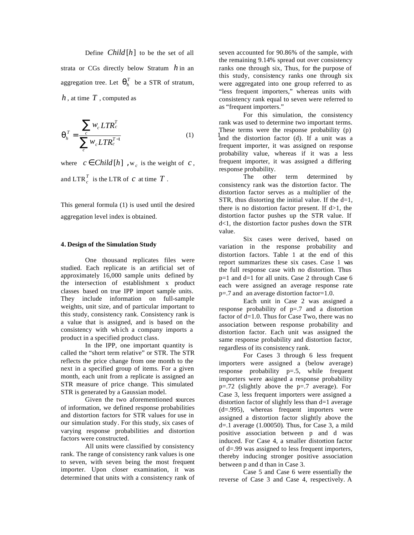Define *Child*  $[h]$  to be the set of all strata or CGs directly below Stratum *h* in an aggregation tree. Let  $q_h^T$  be a STR of stratum, *h* , at time *T* , computed as

$$
\boldsymbol{q}_h^T = \frac{\sum_c w_c L T R_c^T}{\sum_c^c w_c L T R_c^{T-1}}
$$
(1)

where  $c \in Child[h]$ , w<sub>c</sub> is the weight of *c*, and  $\text{LTR}_{c}^{T}$  is the LTR of *c* at time  $T$  .

This general formula (1) is used until the desired aggregation level index is obtained.

# **4. Design of the Simulation Study**

One thousand replicates files were studied. Each replicate is an artificial set of approximately 16,000 sample units defined by the intersection of establishment x product classes based on true IPP import sample units. They include information on full-sample weights, unit size, and of particular important to this study, consistency rank. Consistency rank is a value that is assigned, and is based on the consistency with wh ich a company imports a product in a specified product class.

In the IPP, one important quantity is called the "short term relative" or STR. The STR reflects the price change from one month to the next in a specified group of items. For a given month, each unit from a replicate is assigned an STR measure of price change. This simulated STR is generated by a Gaussian model.

Given the two aforementioned sources of information, we defined response probabilities and distortion factors for STR values for use in our simulation study. For this study, six cases of varying response probabilities and distortion factors were constructed.

All units were classified by consistency rank. The range of consistency rank values is one to seven, with seven being the most frequent importer. Upon closer examination, it was determined that units with a consistency rank of seven accounted for 90.86% of the sample, with the remaining 9.14% spread out over consistency ranks one through six, Thus, for the purpose of this study, consistency ranks one through six were aggregated into one group referred to as "less frequent importers," whereas units with consistency rank equal to seven were referred to as "frequent importers."

For this simulation, the consistency rank was used to determine two important terms. These terms were the response probability (p) and the distortion factor (d). If a unit was a frequent importer, it was assigned on response probability value, whereas if it was a less frequent importer, it was assigned a differing response probability.

The other term determined by consistency rank was the distortion factor. The distortion factor serves as a multiplier of the STR, thus distorting the initial value. If the  $d=1$ , there is no distortion factor present. If  $d>1$ , the distortion factor pushes up the STR value. If d<1, the distortion factor pushes down the STR value.

Six cases were derived, based on variation in the response probability and distortion factors. Table 1 at the end of this report summarizes these six cases. Case 1 was the full response case with no distortion. Thus p=1 and d=1 for all units. Case 2 through Case 6 each were assigned an average response rate p=.7 and an average distortion factor=1.0.

Each unit in Case 2 was assigned a response probability of p=.7 and a distortion factor of d=1.0. Thus for Case Two, there was no association between response probability and distortion factor. Each unit was assigned the same response probability and distortion factor, regardless of its consistency rank.

For Cases 3 through 6 less frequent importers were assigned a (below average) response probability p=.5, while frequent importers were assigned a response probability  $p=.72$  (slightly above the  $p=.7$  average). For Case 3, less frequent importers were assigned a distortion factor of slightly less than d=1 average (d=.995), whereas frequent importers were assigned a distortion factor slightly above the  $d=1$  average (1.00050). Thus, for Case 3, a mild positive association between p and d was induced. For Case 4, a smaller distortion factor of d=.99 was assigned to less frequent importers, thereby inducing stronger positive association between p and d than in Case 3.

Case 5 and Case 6 were essentially the reverse of Case 3 and Case 4, respectively. A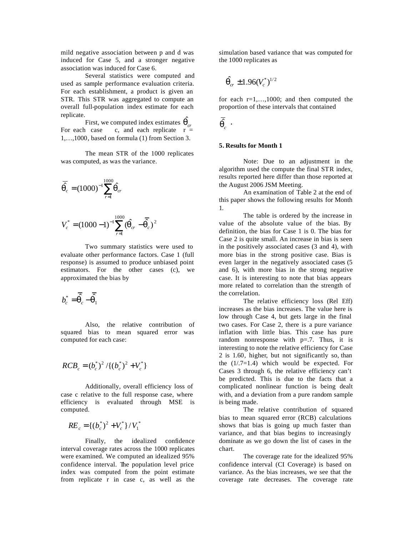mild negative association between p and d was induced for Case 5, and a stronger negative association was induced for Case 6.

Several statistics were computed and used as sample performance evaluation criteria. For each establishment, a product is given an STR. This STR was aggregated to compute an overall full-population index estimate for each replicate.

First, we computed index estimates  $\hat{\boldsymbol{q}}_{cr}$ For each case c, and each replicate  $r =$ 1,…,1000, based on formula (1) from Section 3.

The mean STR of the 1000 replicates was computed, as was the variance.

$$
\overline{\hat{q}}_c = (1000)^{-1} \sum_{r=1}^{1000} \hat{q}_{cr}
$$

$$
V_c^* = (1000-1)^{-1} \sum_{r=1}^{1000} (\hat{\boldsymbol{q}}_{cr} - \overline{\hat{\boldsymbol{q}}_c})^2
$$

Two summary statistics were used to evaluate other performance factors. Case 1 (full response) is assumed to produce unbiased point estimators. For the other cases (c), we approximated the bias by

$$
b_c^* = \overline{\hat{\boldsymbol{q}}_c} - \overline{\hat{\boldsymbol{q}}_1}
$$

Also, the relative contribution of squared bias to mean squared error was computed for each case:

$$
RCB_c = (b_c^*)^2 / \{(b_c^*)^2 + V_c^*\}
$$

Additionally, overall efficiency loss of case c relative to the full response case, where efficiency is evaluated through MSE is computed.

$$
RE_c = \{(b_c^*)^2 + V_c^*\} / V_1^*
$$

Finally, the idealized confidence interval coverage rates across the 1000 replicates were examined. We computed an idealized 95% confidence interval. The population level price index was computed from the point estimate from replicate r in case c, as well as the

simulation based variance that was computed for the 1000 replicates as

$$
\hat{\bm{q}}_{cr} \pm 1.96 (V_c^*)^{1/2}
$$

for each  $r=1,...,1000$ ; and then computed the proportion of these intervals that contained

$$
\bar{\hat{\bm{q}}}_c \enspace \cdot
$$

# **5. Results for Month 1**

Note: Due to an adjustment in the algorithm used the compute the final STR index, results reported here differ than those reported at the August 2006 JSM Meeting.

An examination of Table 2 at the end of this paper shows the following results for Month 1.

The table is ordered by the increase in value of the absolute value of the bias. By definition, the bias for Case 1 is 0. The bias for Case 2 is quite small. An increase in bias is seen in the positively associated cases (3 and 4), with more bias in the strong positive case. Bias is even larger in the negatively associated cases (5 and 6), with more bias in the strong negative case. It is interesting to note that bias appears more related to correlation than the strength of the correlation.

The relative efficiency loss (Rel Eff) increases as the bias increases. The value here is low through Case 4, but gets large in the final two cases. For Case 2, there is a pure variance inflation with little bias. This case has pure random nonresponse with  $p=0.7$ . Thus, it is interesting to note the relative efficiency for Case 2 is 1.60, higher, but not significantly so, than the  $(1/7=1.4)$  which would be expected. For Cases 3 through 6, the relative efficiency can't be predicted. This is due to the facts that a complicated nonlinear function is being dealt with, and a deviation from a pure random sample is being made.

The relative contribution of squared bias to mean squared error (RCB) calculations shows that bias is going up much faster than variance, and that bias begins to increasingly dominate as we go down the list of cases in the chart.

The coverage rate for the idealized 95% confidence interval (CI Coverage) is based on variance. As the bias increases, we see that the coverage rate decreases. The coverage rate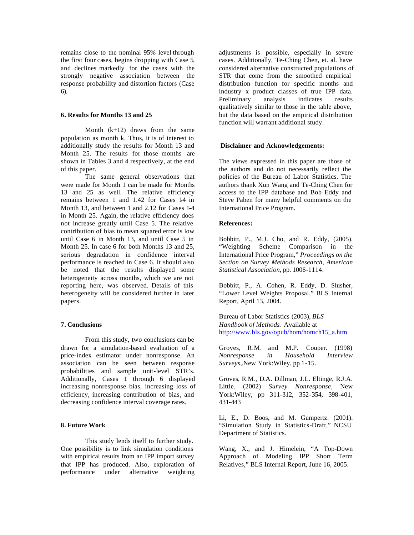remains close to the nominal 95% level through the first four cases, begins dropping with Case 5, and declines markedly for the cases with the strongly negative association between the response probability and distortion factors (Case 6).

#### **6. Results for Months 13 and 25**

Month  $(k+12)$  draws from the same population as month k. Thus, it is of interest to additionally study the results for Month 13 and Month 25. The results for those months are shown in Tables 3 and 4 respectively, at the end of this paper.

The same general observations that were made for Month 1 can be made for Months 13 and 25 as well. The relative efficiency remains between 1 and 1.42 for Cases 14 in Month 13, and between 1 and 2.12 for Cases 1-4 in Month 25. Again, the relative efficiency does not increase greatly until Case 5. The relative contribution of bias to mean squared error is low until Case 6 in Month 13, and until Case 5 in Month 25. In case 6 for both Months 13 and 25, serious degradation in confidence interval performance is reached in Case 6. It should also be noted that the results displayed some heterogeneity across months, which we are not reporting here, was observed. Details of this heterogeneity will be considered further in later papers.

#### **7. Conclusions**

From this study, two conclusions can be drawn for a simulation-based evaluation of a price-index estimator under nonresponse. An association can be seen between response probabilities and sample unit-level STR's. Additionally, Cases 1 through 6 displayed increasing nonresponse bias, increasing loss of efficiency, increasing contribution of bias, and decreasing confidence interval coverage rates.

# **8. Future Work**

This study lends itself to further study. One possibility is to link simulation conditions with empirical results from an IPP import survey that IPP has produced. Also, exploration of performance under alternative weighting adjustments is possible, especially in severe cases. Additionally, Te-Ching Chen, et. al. have considered alternative constructed populations of STR that come from the smoothed empirical distribution function for specific months and industry x product classes of true IPP data. Preliminary analysis indicates results qualitatively similar to those in the table above, but the data based on the empirical distribution function will warrant additional study.

#### **Disclaimer and Acknowledgements:**

The views expressed in this paper are those of the authors and do not necessarily reflect the policies of the Bureau of Labor Statistics. The authors thank Xun Wang and Te-Ching Chen for access to the IPP database and Bob Eddy and Steve Paben for many helpful comments on the International Price Program.

# **References:**

Bobbitt, P., M.J. Cho, and R. Eddy, (2005). "Weighting Scheme Comparison in the International Price Program," *Proceedings on the Section on Survey Methods Research, American Statistical Association*, pp. 1006-1114.

Bobbitt, P., A. Cohen, R. Eddy, D. Slusher, "Lower Level Weights Proposal," BLS Internal Report, April 13, 2004.

Bureau of Labor Statistics (2003), *BLS Handbook of Methods*. Available at http://www.bls.gov/opub/hom/homch15\_a.htm.

Groves, R.M. and M.P. Couper. (1998) *Nonresponse in Household Interview Surveys*,.New York:Wiley, pp 1-15.

Groves, R.M., D.A. Dillman, J.L. Eltinge, R.J.A. Little. (2002) *Survey Nonresponse*, New York:Wiley, pp 311-312, 352-354, 398-401, 431-443

Li, E., D. Boos, and M. Gumpertz. (2001). "Simulation Study in Statistics-Draft," NCSU Department of Statistics.

Wang, X., and J. Himelein, "A Top-Down Approach of Modeling IPP Short Term Relatives," BLS Internal Report, June 16, 2005.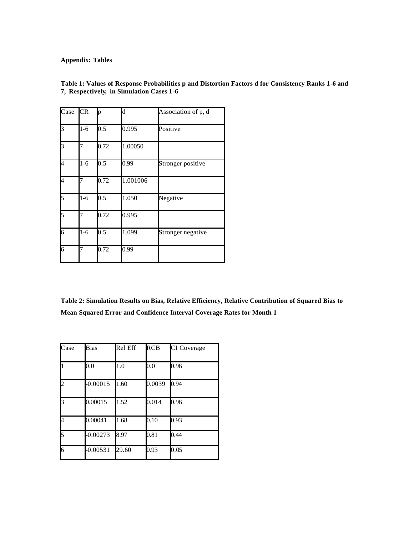**Appendix: Tables** 

| Case | <b>CR</b> | p    | $\mathbf d$ | Association of p, d |
|------|-----------|------|-------------|---------------------|
| 3    | $1-6$     | 0.5  | 0.995       | Positive            |
| 3    | 7         | 0.72 | 1.00050     |                     |
| 4    | $1 - 6$   | 0.5  | 0.99        | Stronger positive   |
| 4    | 7         | 0.72 | 1.001006    |                     |
| 5    | $1 - 6$   | 0.5  | 1.050       | Negative            |
| 5    | 7         | 0.72 | 0.995       |                     |
| 6    | $1-6$     | 0.5  | 1.099       | Stronger negative   |
| 6    | 7         | 0.72 | 0.99        |                     |

**Table 1: Values of Response Probabilities p and Distortion Factors d for Consistency Ranks 1-6 and 7, Respectively, in Simulation Cases 1-6**

**Table 2: Simulation Results on Bias, Relative Efficiency, Relative Contribution of Squared Bias to Mean Squared Error and Confidence Interval Coverage Rates for Month 1**

| Case           | <b>Bias</b> | Rel Eff | <b>RCB</b> | CI Coverage |
|----------------|-------------|---------|------------|-------------|
| $\overline{1}$ | 0.0         | 1.0     | 0.0        | 0.96        |
| $\overline{c}$ | $-0.00015$  | 1.60    | 0.0039     | 0.94        |
| $\overline{3}$ | 0.00015     | 1.52    | 0.014      | 0.96        |
| 4              | 0.00041     | 1.68    | 0.10       | 0.93        |
| 5              | $-0.00273$  | 8.97    | 0.81       | 0.44        |
| 6              | $-0.00531$  | 29.60   | 0.93       | 0.05        |